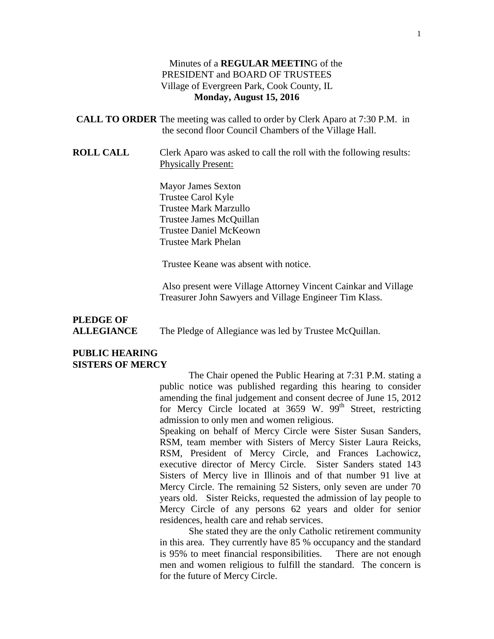#### Minutes of a **REGULAR MEETIN**G of the PRESIDENT and BOARD OF TRUSTEES Village of Evergreen Park, Cook County, IL **Monday, August 15, 2016**

**CALL TO ORDER** The meeting was called to order by Clerk Aparo at 7:30 P.M. in the second floor Council Chambers of the Village Hall.

**ROLL CALL** Clerk Aparo was asked to call the roll with the following results: Physically Present:

> Mayor James Sexton Trustee Carol Kyle Trustee Mark Marzullo Trustee James McQuillan Trustee Daniel McKeown Trustee Mark Phelan

Trustee Keane was absent with notice.

Also present were Village Attorney Vincent Cainkar and Village Treasurer John Sawyers and Village Engineer Tim Klass.

## **PLEDGE OF**

**ALLEGIANCE** The Pledge of Allegiance was led by Trustee McQuillan.

#### **PUBLIC HEARING SISTERS OF MERCY**

The Chair opened the Public Hearing at 7:31 P.M. stating a public notice was published regarding this hearing to consider amending the final judgement and consent decree of June 15, 2012 for Mercy Circle located at  $3659$  W.  $99<sup>th</sup>$  Street, restricting admission to only men and women religious.

Speaking on behalf of Mercy Circle were Sister Susan Sanders, RSM, team member with Sisters of Mercy Sister Laura Reicks, RSM, President of Mercy Circle, and Frances Lachowicz, executive director of Mercy Circle. Sister Sanders stated 143 Sisters of Mercy live in Illinois and of that number 91 live at Mercy Circle. The remaining 52 Sisters, only seven are under 70 years old. Sister Reicks, requested the admission of lay people to Mercy Circle of any persons 62 years and older for senior residences, health care and rehab services.

She stated they are the only Catholic retirement community in this area. They currently have 85 % occupancy and the standard is 95% to meet financial responsibilities. There are not enough men and women religious to fulfill the standard. The concern is for the future of Mercy Circle.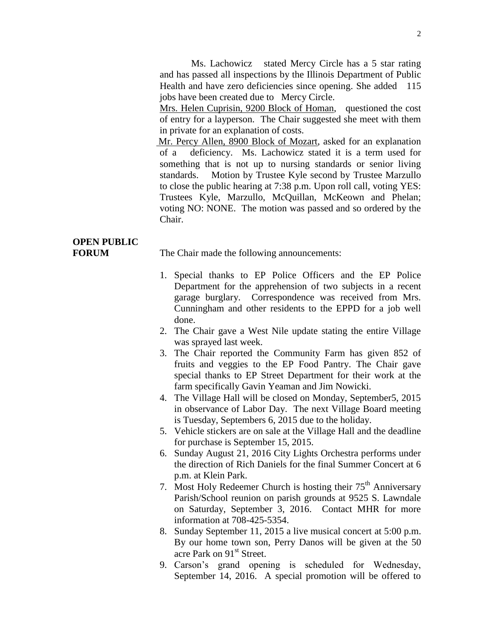Ms. Lachowicz stated Mercy Circle has a 5 star rating and has passed all inspections by the Illinois Department of Public Health and have zero deficiencies since opening. She added 115 jobs have been created due to Mercy Circle.

Mrs. Helen Cuprisin, 9200 Block of Homan, questioned the cost of entry for a layperson. The Chair suggested she meet with them in private for an explanation of costs.

Mr. Percy Allen, 8900 Block of Mozart, asked for an explanation of a deficiency. Ms. Lachowicz stated it is a term used for something that is not up to nursing standards or senior living standards. Motion by Trustee Kyle second by Trustee Marzullo to close the public hearing at 7:38 p.m. Upon roll call, voting YES: Trustees Kyle, Marzullo, McQuillan, McKeown and Phelan; voting NO: NONE. The motion was passed and so ordered by the Chair.

## **OPEN PUBLIC**

**FORUM** The Chair made the following announcements:

- 1. Special thanks to EP Police Officers and the EP Police Department for the apprehension of two subjects in a recent garage burglary. Correspondence was received from Mrs. Cunningham and other residents to the EPPD for a job well done.
- 2. The Chair gave a West Nile update stating the entire Village was sprayed last week.
- 3. The Chair reported the Community Farm has given 852 of fruits and veggies to the EP Food Pantry. The Chair gave special thanks to EP Street Department for their work at the farm specifically Gavin Yeaman and Jim Nowicki.
- 4. The Village Hall will be closed on Monday, September5, 2015 in observance of Labor Day. The next Village Board meeting is Tuesday, Septembers 6, 2015 due to the holiday.
- 5. Vehicle stickers are on sale at the Village Hall and the deadline for purchase is September 15, 2015.
- 6. Sunday August 21, 2016 City Lights Orchestra performs under the direction of Rich Daniels for the final Summer Concert at 6 p.m. at Klein Park.
- 7. Most Holy Redeemer Church is hosting their  $75<sup>th</sup>$  Anniversary Parish/School reunion on parish grounds at 9525 S. Lawndale on Saturday, September 3, 2016. Contact MHR for more information at 708-425-5354.
- 8. Sunday September 11, 2015 a live musical concert at 5:00 p.m. By our home town son, Perry Danos will be given at the 50 acre Park on 91<sup>st</sup> Street.
- 9. Carson's grand opening is scheduled for Wednesday, September 14, 2016. A special promotion will be offered to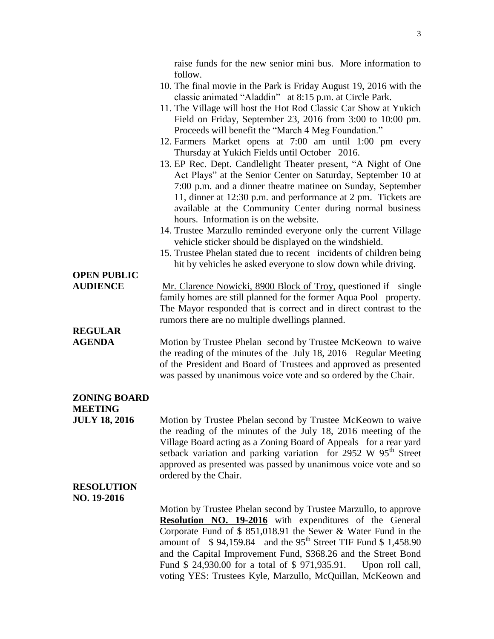raise funds for the new senior mini bus. More information to follow.

- 10. The final movie in the Park is Friday August 19, 2016 with the classic animated "Aladdin" at 8:15 p.m. at Circle Park.
- 11. The Village will host the Hot Rod Classic Car Show at Yukich Field on Friday, September 23, 2016 from 3:00 to 10:00 pm. Proceeds will benefit the "March 4 Meg Foundation."
- 12. Farmers Market opens at 7:00 am until 1:00 pm every Thursday at Yukich Fields until October 2016.
- 13. EP Rec. Dept. Candlelight Theater present, "A Night of One Act Plays" at the Senior Center on Saturday, September 10 at 7:00 p.m. and a dinner theatre matinee on Sunday, September 11, dinner at 12:30 p.m. and performance at 2 pm. Tickets are available at the Community Center during normal business hours. Information is on the website.
- 14. Trustee Marzullo reminded everyone only the current Village vehicle sticker should be displayed on the windshield.
- 15. Trustee Phelan stated due to recent incidents of children being hit by vehicles he asked everyone to slow down while driving.

# **OPEN PUBLIC**

**AUDIENCE** Mr. Clarence Nowicki, 8900 Block of Troy, questioned if single family homes are still planned for the former Aqua Pool property. The Mayor responded that is correct and in direct contrast to the rumors there are no multiple dwellings planned.

# **REGULAR**

**AGENDA** Motion by Trustee Phelan second by Trustee McKeown to waive the reading of the minutes of the July 18, 2016 Regular Meeting of the President and Board of Trustees and approved as presented was passed by unanimous voice vote and so ordered by the Chair.

#### **ZONING BOARD MEETING**

**JULY 18, 2016** Motion by Trustee Phelan second by Trustee McKeown to waive the reading of the minutes of the July 18, 2016 meeting of the Village Board acting as a Zoning Board of Appeals for a rear yard setback variation and parking variation for 2952 W  $95<sup>th</sup>$  Street approved as presented was passed by unanimous voice vote and so ordered by the Chair.

#### **RESOLUTION NO. 19-2016**

Motion by Trustee Phelan second by Trustee Marzullo, to approve **Resolution NO. 19-2016** with expenditures of the General Corporate Fund of \$ 851,018.91 the Sewer & Water Fund in the amount of  $\$$  94,159.84 and the 95<sup>th</sup> Street TIF Fund  $\$$  1,458.90 and the Capital Improvement Fund, \$368.26 and the Street Bond Fund \$ 24,930.00 for a total of \$ 971,935.91. Upon roll call, voting YES: Trustees Kyle, Marzullo, McQuillan, McKeown and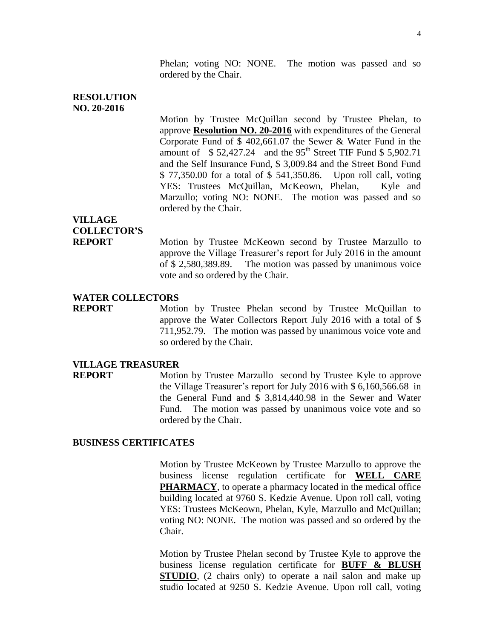Phelan; voting NO: NONE. The motion was passed and so ordered by the Chair.

#### **RESOLUTION NO. 20-2016**

Motion by Trustee McQuillan second by Trustee Phelan, to approve **Resolution NO. 20-2016** with expenditures of the General Corporate Fund of \$ 402,661.07 the Sewer & Water Fund in the amount of  $$ 52,427.24$  and the 95<sup>th</sup> Street TIF Fund \$ 5,902.71 and the Self Insurance Fund, \$ 3,009.84 and the Street Bond Fund \$ 77,350.00 for a total of \$ 541,350.86. Upon roll call, voting YES: Trustees McQuillan, McKeown, Phelan, Kyle and Marzullo; voting NO: NONE. The motion was passed and so ordered by the Chair.

### **VILLAGE COLLECTOR'S**

**REPORT** Motion by Trustee McKeown second by Trustee Marzullo to approve the Village Treasurer's report for July 2016 in the amount of \$ 2,580,389.89. The motion was passed by unanimous voice vote and so ordered by the Chair.

#### **WATER COLLECTORS**

**REPORT** Motion by Trustee Phelan second by Trustee McQuillan to approve the Water Collectors Report July 2016 with a total of \$ 711,952.79. The motion was passed by unanimous voice vote and so ordered by the Chair.

#### **VILLAGE TREASURER**

**REPORT** Motion by Trustee Marzullo second by Trustee Kyle to approve the Village Treasurer's report for July 2016 with \$ 6,160,566.68 in the General Fund and \$ 3,814,440.98 in the Sewer and Water Fund. The motion was passed by unanimous voice vote and so ordered by the Chair.

#### **BUSINESS CERTIFICATES**

Motion by Trustee McKeown by Trustee Marzullo to approve the business license regulation certificate for **WELL CARE PHARMACY**, to operate a pharmacy located in the medical office building located at 9760 S. Kedzie Avenue. Upon roll call, voting YES: Trustees McKeown, Phelan, Kyle, Marzullo and McQuillan; voting NO: NONE. The motion was passed and so ordered by the Chair.

Motion by Trustee Phelan second by Trustee Kyle to approve the business license regulation certificate for **BUFF & BLUSH STUDIO**, (2 chairs only) to operate a nail salon and make up studio located at 9250 S. Kedzie Avenue. Upon roll call, voting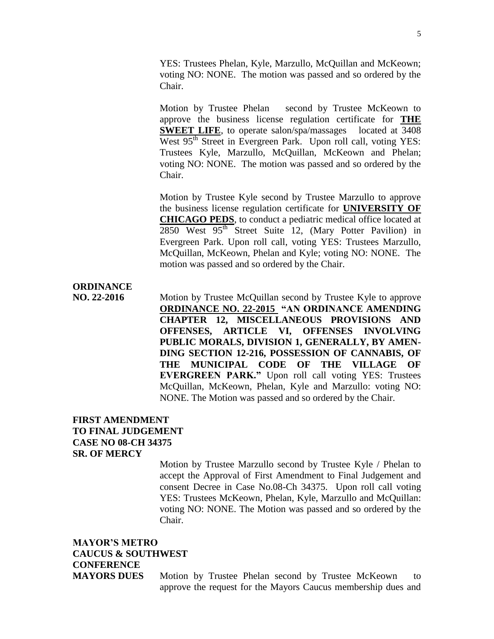YES: Trustees Phelan, Kyle, Marzullo, McQuillan and McKeown; voting NO: NONE. The motion was passed and so ordered by the Chair.

Motion by Trustee Phelan second by Trustee McKeown to approve the business license regulation certificate for **THE SWEET LIFE**, to operate salon/spa/massages located at 3408 West 95<sup>th</sup> Street in Evergreen Park. Upon roll call, voting YES: Trustees Kyle, Marzullo, McQuillan, McKeown and Phelan; voting NO: NONE. The motion was passed and so ordered by the Chair.

Motion by Trustee Kyle second by Trustee Marzullo to approve the business license regulation certificate for **UNIVERSITY OF CHICAGO PEDS**, to conduct a pediatric medical office located at  $2850$  West  $95<sup>th</sup>$  Street Suite 12, (Mary Potter Pavilion) in Evergreen Park. Upon roll call, voting YES: Trustees Marzullo, McQuillan, McKeown, Phelan and Kyle; voting NO: NONE. The motion was passed and so ordered by the Chair.

#### **ORDINANCE**

**NO. 22-2016** Motion by Trustee McQuillan second by Trustee Kyle to approve **ORDINANCE NO. 22-2015 "AN ORDINANCE AMENDING CHAPTER 12, MISCELLANEOUS PROVISIONS AND OFFENSES, ARTICLE VI, OFFENSES INVOLVING PUBLIC MORALS, DIVISION 1, GENERALLY, BY AMEN-DING SECTION 12-216, POSSESSION OF CANNABIS, OF THE MUNICIPAL CODE OF THE VILLAGE OF EVERGREEN PARK."** Upon roll call voting YES: Trustees McQuillan, McKeown, Phelan, Kyle and Marzullo: voting NO: NONE. The Motion was passed and so ordered by the Chair.

#### **FIRST AMENDMENT TO FINAL JUDGEMENT CASE NO 08-CH 34375 SR. OF MERCY**

Motion by Trustee Marzullo second by Trustee Kyle / Phelan to accept the Approval of First Amendment to Final Judgement and consent Decree in Case No.08-Ch 34375. Upon roll call voting YES: Trustees McKeown, Phelan, Kyle, Marzullo and McQuillan: voting NO: NONE. The Motion was passed and so ordered by the Chair.

### **MAYOR'S METRO CAUCUS & SOUTHWEST CONFERENCE**

**MAYORS DUES** Motion by Trustee Phelan second by Trustee McKeown to approve the request for the Mayors Caucus membership dues and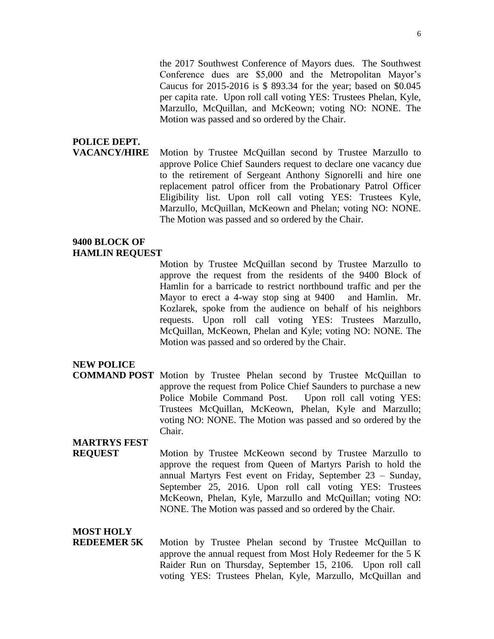the 2017 Southwest Conference of Mayors dues. The Southwest Conference dues are \$5,000 and the Metropolitan Mayor's Caucus for 2015-2016 is \$ 893.34 for the year; based on \$0.045 per capita rate. Upon roll call voting YES: Trustees Phelan, Kyle, Marzullo, McQuillan, and McKeown; voting NO: NONE. The Motion was passed and so ordered by the Chair.

# **POLICE DEPT.**

**VACANCY/HIRE** Motion by Trustee McQuillan second by Trustee Marzullo to approve Police Chief Saunders request to declare one vacancy due to the retirement of Sergeant Anthony Signorelli and hire one replacement patrol officer from the Probationary Patrol Officer Eligibility list. Upon roll call voting YES: Trustees Kyle, Marzullo, McQuillan, McKeown and Phelan; voting NO: NONE. The Motion was passed and so ordered by the Chair.

#### **9400 BLOCK OF HAMLIN REQUEST**

Motion by Trustee McQuillan second by Trustee Marzullo to approve the request from the residents of the 9400 Block of Hamlin for a barricade to restrict northbound traffic and per the Mayor to erect a 4-way stop sing at 9400 and Hamlin. Mr. Kozlarek, spoke from the audience on behalf of his neighbors requests. Upon roll call voting YES: Trustees Marzullo, McQuillan, McKeown, Phelan and Kyle; voting NO: NONE. The Motion was passed and so ordered by the Chair.

#### **NEW POLICE**

**COMMAND POST** Motion by Trustee Phelan second by Trustee McQuillan to approve the request from Police Chief Saunders to purchase a new Police Mobile Command Post. Upon roll call voting YES: Trustees McQuillan, McKeown, Phelan, Kyle and Marzullo; voting NO: NONE. The Motion was passed and so ordered by the Chair.

#### **MARTRYS FEST**

**REQUEST** Motion by Trustee McKeown second by Trustee Marzullo to approve the request from Queen of Martyrs Parish to hold the annual Martyrs Fest event on Friday, September 23 – Sunday, September 25, 2016. Upon roll call voting YES: Trustees McKeown, Phelan, Kyle, Marzullo and McQuillan; voting NO: NONE. The Motion was passed and so ordered by the Chair.

#### **MOST HOLY**

**REDEEMER 5K** Motion by Trustee Phelan second by Trustee McQuillan to approve the annual request from Most Holy Redeemer for the 5 K Raider Run on Thursday, September 15, 2106. Upon roll call voting YES: Trustees Phelan, Kyle, Marzullo, McQuillan and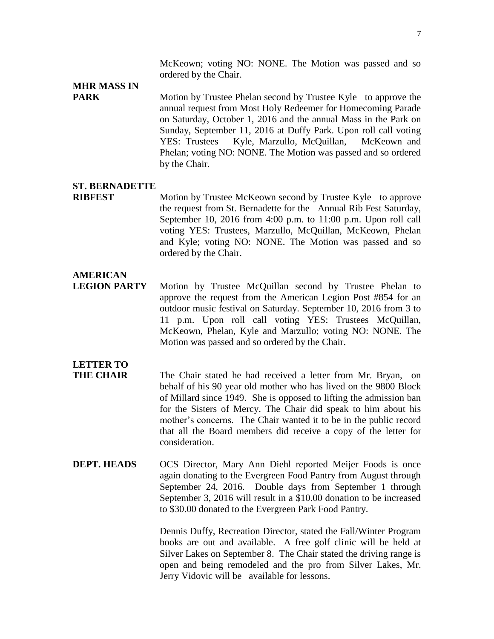McKeown; voting NO: NONE. The Motion was passed and so ordered by the Chair.

# **MHR MASS IN**

**PARK** Motion by Trustee Phelan second by Trustee Kyle to approve the annual request from Most Holy Redeemer for Homecoming Parade on Saturday, October 1, 2016 and the annual Mass in the Park on Sunday, September 11, 2016 at Duffy Park. Upon roll call voting YES: Trustees Kyle, Marzullo, McQuillan, McKeown and Phelan; voting NO: NONE. The Motion was passed and so ordered by the Chair.

#### **ST. BERNADETTE**

**RIBFEST** Motion by Trustee McKeown second by Trustee Kyle to approve the request from St. Bernadette for the Annual Rib Fest Saturday, September 10, 2016 from 4:00 p.m. to 11:00 p.m. Upon roll call voting YES: Trustees, Marzullo, McQuillan, McKeown, Phelan and Kyle; voting NO: NONE. The Motion was passed and so ordered by the Chair.

#### **AMERICAN**

**LEGION PARTY** Motion by Trustee McQuillan second by Trustee Phelan to approve the request from the American Legion Post #854 for an outdoor music festival on Saturday. September 10, 2016 from 3 to 11 p.m. Upon roll call voting YES: Trustees McQuillan, McKeown, Phelan, Kyle and Marzullo; voting NO: NONE. The Motion was passed and so ordered by the Chair.

## **LETTER TO**

- **THE CHAIR** The Chair stated he had received a letter from Mr. Bryan, on behalf of his 90 year old mother who has lived on the 9800 Block of Millard since 1949. She is opposed to lifting the admission ban for the Sisters of Mercy. The Chair did speak to him about his mother's concerns. The Chair wanted it to be in the public record that all the Board members did receive a copy of the letter for consideration.
- **DEPT. HEADS** OCS Director, Mary Ann Diehl reported Meijer Foods is once again donating to the Evergreen Food Pantry from August through September 24, 2016. Double days from September 1 through September 3, 2016 will result in a \$10.00 donation to be increased to \$30.00 donated to the Evergreen Park Food Pantry.

Dennis Duffy, Recreation Director, stated the Fall/Winter Program books are out and available. A free golf clinic will be held at Silver Lakes on September 8. The Chair stated the driving range is open and being remodeled and the pro from Silver Lakes, Mr. Jerry Vidovic will be available for lessons.